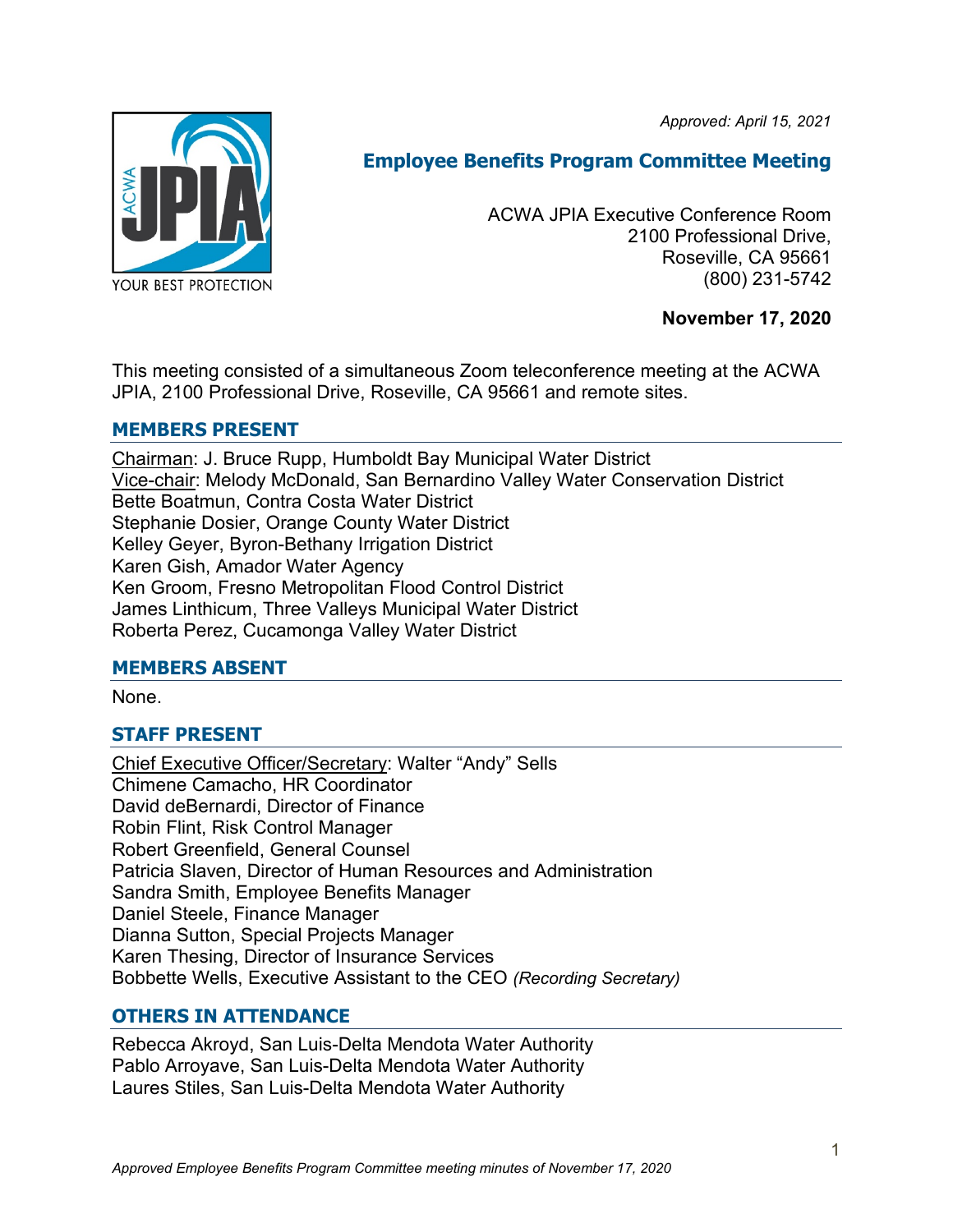*Approved: April 15, 2021*



# **Employee Benefits Program Committee Meeting**

ACWA JPIA Executive Conference Room 2100 Professional Drive, Roseville, CA 95661 (800) 231-5742

## **November 17, 2020**

This meeting consisted of a simultaneous Zoom teleconference meeting at the ACWA JPIA, 2100 Professional Drive, Roseville, CA 95661 and remote sites.

## **MEMBERS PRESENT**

Chairman: J. Bruce Rupp, Humboldt Bay Municipal Water District Vice-chair: Melody McDonald, San Bernardino Valley Water Conservation District Bette Boatmun, Contra Costa Water District Stephanie Dosier, Orange County Water District Kelley Geyer, Byron-Bethany Irrigation District Karen Gish, Amador Water Agency Ken Groom, Fresno Metropolitan Flood Control District James Linthicum, Three Valleys Municipal Water District Roberta Perez, Cucamonga Valley Water District

#### **MEMBERS ABSENT**

None.

# **STAFF PRESENT**

Chief Executive Officer/Secretary: Walter "Andy" Sells Chimene Camacho, HR Coordinator David deBernardi, Director of Finance Robin Flint, Risk Control Manager Robert Greenfield, General Counsel Patricia Slaven, Director of Human Resources and Administration Sandra Smith, Employee Benefits Manager Daniel Steele, Finance Manager Dianna Sutton, Special Projects Manager Karen Thesing, Director of Insurance Services Bobbette Wells, Executive Assistant to the CEO *(Recording Secretary)*

# **OTHERS IN ATTENDANCE**

Rebecca Akroyd, San Luis-Delta Mendota Water Authority Pablo Arroyave, San Luis-Delta Mendota Water Authority Laures Stiles, San Luis-Delta Mendota Water Authority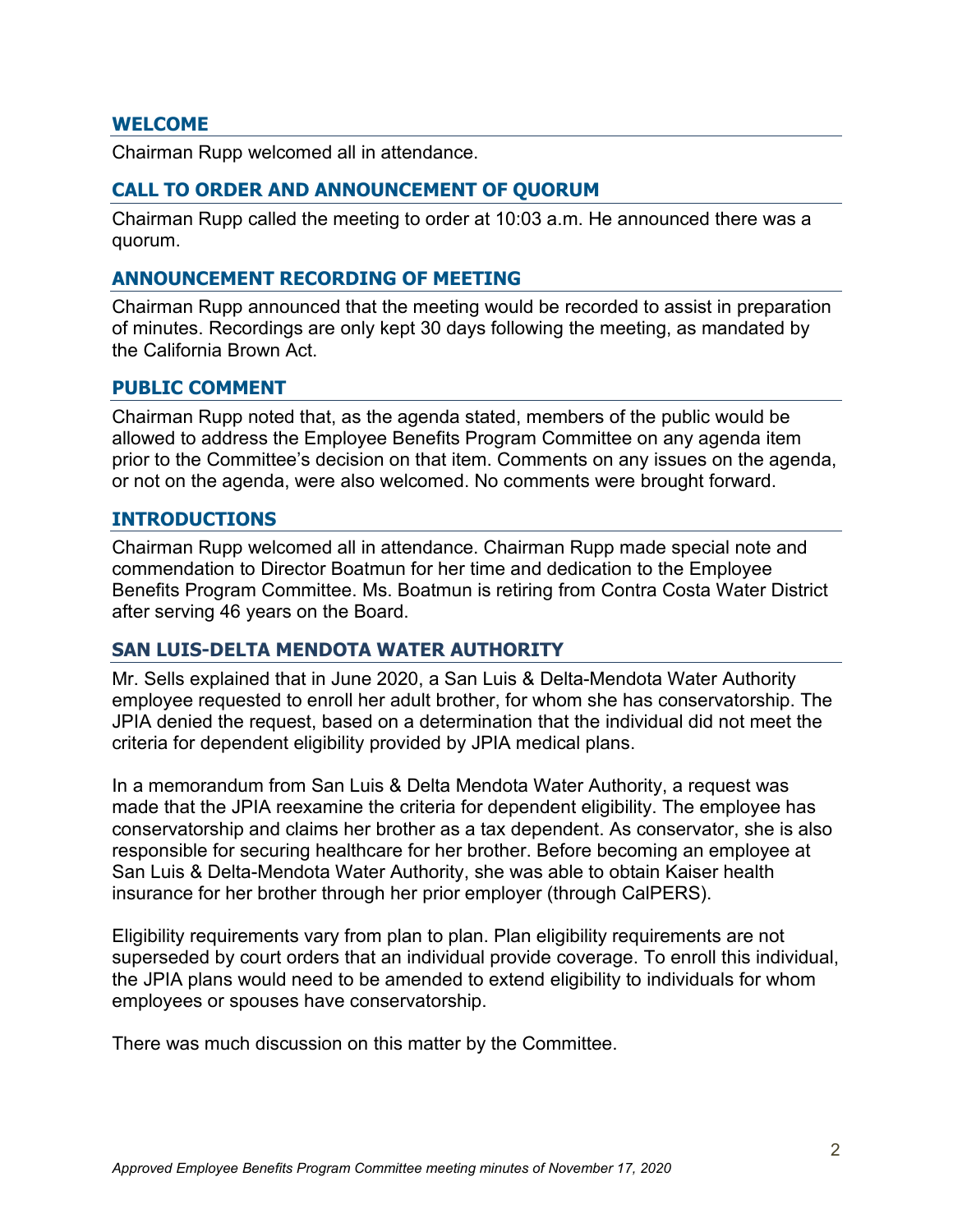#### **WELCOME**

Chairman Rupp welcomed all in attendance.

#### **CALL TO ORDER AND ANNOUNCEMENT OF QUORUM**

Chairman Rupp called the meeting to order at 10:03 a.m. He announced there was a quorum.

#### **ANNOUNCEMENT RECORDING OF MEETING**

Chairman Rupp announced that the meeting would be recorded to assist in preparation of minutes. Recordings are only kept 30 days following the meeting, as mandated by the California Brown Act.

#### **PUBLIC COMMENT**

Chairman Rupp noted that, as the agenda stated, members of the public would be allowed to address the Employee Benefits Program Committee on any agenda item prior to the Committee's decision on that item. Comments on any issues on the agenda, or not on the agenda, were also welcomed. No comments were brought forward.

#### **INTRODUCTIONS**

Chairman Rupp welcomed all in attendance. Chairman Rupp made special note and commendation to Director Boatmun for her time and dedication to the Employee Benefits Program Committee. Ms. Boatmun is retiring from Contra Costa Water District after serving 46 years on the Board.

#### **SAN LUIS-DELTA MENDOTA WATER AUTHORITY**

Mr. Sells explained that in June 2020, a San Luis & Delta-Mendota Water Authority employee requested to enroll her adult brother, for whom she has conservatorship. The JPIA denied the request, based on a determination that the individual did not meet the criteria for dependent eligibility provided by JPIA medical plans.

In a memorandum from San Luis & Delta Mendota Water Authority, a request was made that the JPIA reexamine the criteria for dependent eligibility. The employee has conservatorship and claims her brother as a tax dependent. As conservator, she is also responsible for securing healthcare for her brother. Before becoming an employee at San Luis & Delta-Mendota Water Authority, she was able to obtain Kaiser health insurance for her brother through her prior employer (through CalPERS).

Eligibility requirements vary from plan to plan. Plan eligibility requirements are not superseded by court orders that an individual provide coverage. To enroll this individual, the JPIA plans would need to be amended to extend eligibility to individuals for whom employees or spouses have conservatorship.

There was much discussion on this matter by the Committee.